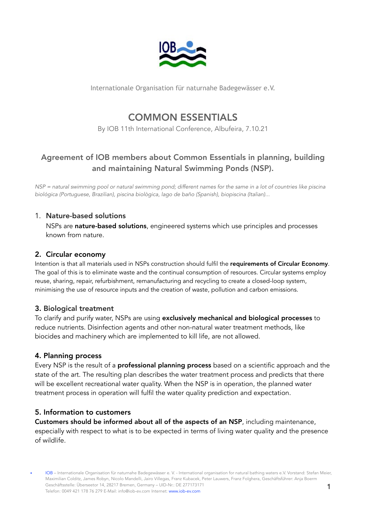

Internationale Organisation für naturnahe Badegewässer e.V.

# COMMON ESSENTIALS

By IOB 11th International Conference, Albufeira, 7.10.21

# Agreement of IOB members about Common Essentials in planning, building and maintaining Natural Swimming Ponds (NSP).

*NSP = natural swimming pool or natural swimming pond; different names for the same in a lot of countries like piscina biológica (Portuguese, Brazilian), piscina biològica, lago de baño (Spanish), biopiscina (Italian)...*

## 1. Nature-based solutions

NSPs are nature-based solutions, engineered systems which use principles and processes known from nature.

# 2. Circular economy

Intention is that all materials used in NSPs construction should fulfil the requirements of Circular Economy. The goal of this is to eliminate waste and the continual consumption of resources. Circular systems employ reuse, sharing, repair, refurbishment, remanufacturing and recycling to create a closed-loop system, minimising the use of resource inputs and the creation of waste, pollution and carbon emissions.

# 3. Biological treatment

To clarify and purify water, NSPs are using exclusively mechanical and biological processes to reduce nutrients. Disinfection agents and other non-natural water treatment methods, like biocides and machinery which are implemented to kill life, are not allowed.

#### 4. Planning process

Every NSP is the result of a **professional planning process** based on a scientific approach and the state of the art. The resulting plan describes the water treatment process and predicts that there will be excellent recreational water quality. When the NSP is in operation, the planned water treatment process in operation will fulfil the water quality prediction and expectation.

#### 5. Information to customers

Customers should be informed about all of the aspects of an NSP, including maintenance, especially with respect to what is to be expected in terms of living water quality and the presence of wildlife.

1 • IOB – Internationale Organisation für naturnahe Badegewässer e. V. - International organisation for natural bathing waters e.V. Vorstand: Stefan Meier, Maximilian Colditz, James Robyn, Nicolo Mandelli, Jairo Villegas, Franz Kubacek, Peter Lauwers, Franz Folghera, Geschäftsführer: Anja Boerm Geschäftsstelle: Überseetor 14, 28217 Bremen, Germany – UID-Nr.: DE 277173171 Telefon: 0049 421 178 76 279 E-Mail: info@iob-ev.com Internet: www.iob-ev.com